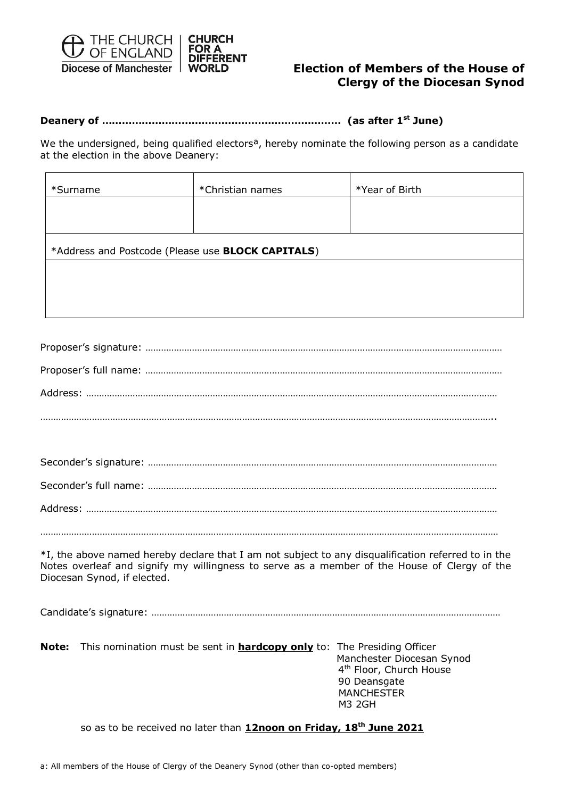

## **Clergy of the Diocesan Synod**

## **Deanery of ……………………………………………………………… (as after 1st June)**

We the undersigned, being qualified electors<sup>a</sup>, hereby nominate the following person as a candidate at the election in the above Deanery:

| *Christian names                                          | *Year of Birth |  |  |  |
|-----------------------------------------------------------|----------------|--|--|--|
|                                                           |                |  |  |  |
| *Address and Postcode (Please use <b>BLOCK CAPITALS</b> ) |                |  |  |  |
|                                                           |                |  |  |  |
|                                                           |                |  |  |  |
|                                                           |                |  |  |  |

……………………………………………………………………………………………………………………………………………………………

\*I, the above named hereby declare that I am not subject to any disqualification referred to in the Notes overleaf and signify my willingness to serve as a member of the House of Clergy of the Diocesan Synod, if elected.

Candidate's signature: ………………………………………………………………………………………………………………………

|  | <b>Note:</b> This nomination must be sent in <b>hardcopy only</b> to: The Presiding Officer |                                     |
|--|---------------------------------------------------------------------------------------------|-------------------------------------|
|  |                                                                                             | Manchester Diocesan Synod           |
|  |                                                                                             | 4 <sup>th</sup> Floor, Church House |
|  |                                                                                             | 90 Deansgate                        |
|  |                                                                                             | <b>MANCHESTER</b>                   |
|  |                                                                                             | M3 2GH                              |

so as to be received no later than **12noon on Friday, 18 th June 2021**